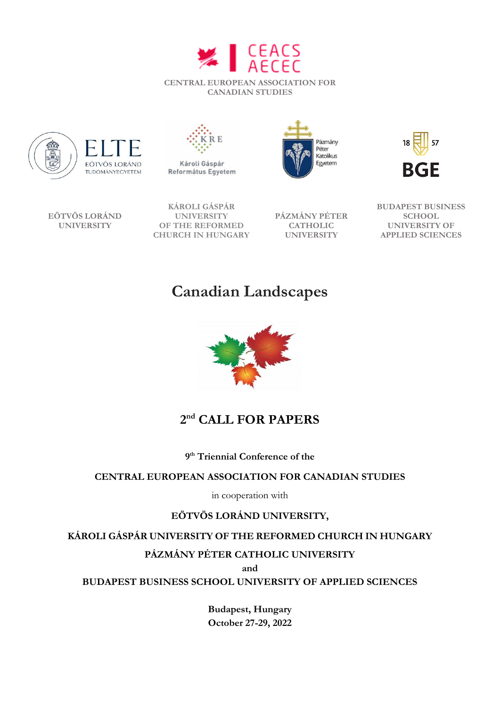





Károli Gáspár Református Egyetem





**EÖTVÖS LORÁND UNIVERSITY**

**KÁROLI GÁSPÁR UNIVERSITY OF THE REFORMED CHURCH IN HUNGARY**

**PÁZMÁNY PÉTER CATHOLIC UNIVERSITY**



# **Canadian Landscapes**



# **2 nd CALL FOR PAPERS**

**9 th Triennial Conference of the**

## **CENTRAL EUROPEAN ASSOCIATION FOR CANADIAN STUDIES**

in cooperation with

# **EÖTVÖS LORÁND UNIVERSITY,**

**KÁROLI GÁSPÁR UNIVERSITY OF THE REFORMED CHURCH IN HUNGARY**

## **PÁZMÁNY PÉTER CATHOLIC UNIVERSITY**

**and**

**BUDAPEST BUSINESS SCHOOL UNIVERSITY OF APPLIED SCIENCES**

**Budapest, Hungary October 27-29, 2022**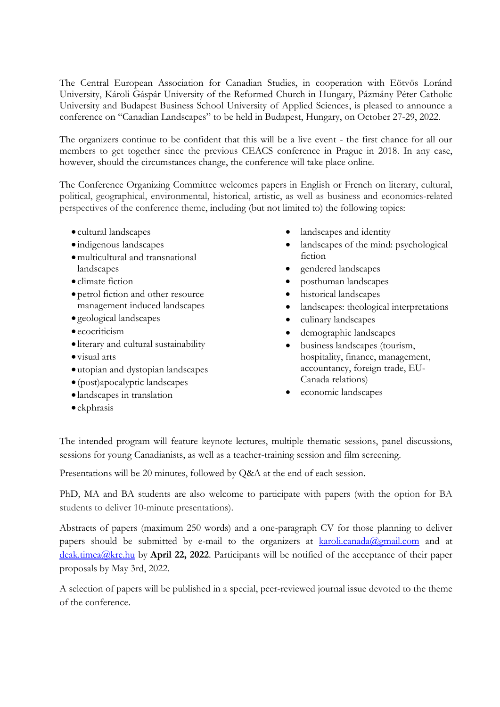The Central European Association for Canadian Studies, in cooperation with Eötvös Loránd University, Károli Gáspár University of the Reformed Church in Hungary, Pázmány Péter Catholic University and Budapest Business School University of Applied Sciences, is pleased to announce a conference on "Canadian Landscapes" to be held in Budapest, Hungary, on October 27-29, 2022.

The organizers continue to be confident that this will be a live event - the first chance for all our members to get together since the previous CEACS conference in Prague in 2018. In any case, however, should the circumstances change, the conference will take place online.

The Conference Organizing Committee welcomes papers in English or French on literary, cultural, political, geographical, environmental, historical, artistic, as well as business and economics-related perspectives of the conference theme, including (but not limited to) the following topics:

- cultural landscapes
- indigenous landscapes
- multicultural and transnational landscapes
- climate fiction
- petrol fiction and other resource management induced landscapes
- geological landscapes
- ecocriticism
- literary and cultural sustainability
- visual arts
- utopian and dystopian landscapes
- (post)apocalyptic landscapes
- landscapes in translation
- ekphrasis
- landscapes and identity
- landscapes of the mind: psychological fiction
- gendered landscapes
- posthuman landscapes
- historical landscapes
- landscapes: theological interpretations
- culinary landscapes
- demographic landscapes
- business landscapes (tourism, hospitality, finance, management, accountancy, foreign trade, EU-Canada relations)
- economic landscapes

The intended program will feature keynote lectures, multiple thematic sessions, panel discussions, sessions for young Canadianists, as well as a teacher-training session and film screening.

Presentations will be 20 minutes, followed by Q&A at the end of each session.

PhD, MA and BA students are also welcome to participate with papers (with the option for BA students to deliver 10-minute presentations).

Abstracts of papers (maximum 250 words) and a one-paragraph CV for those planning to deliver papers should be submitted by e-mail to the organizers at  $karoli. canada@gmail.com$  and at [deak.timea@kre.hu](mailto:deak.timea@kre.hu) by **April 22, 2022**. Participants will be notified of the acceptance of their paper proposals by May 3rd, 2022.

A selection of papers will be published in a special, peer-reviewed journal issue devoted to the theme of the conference.